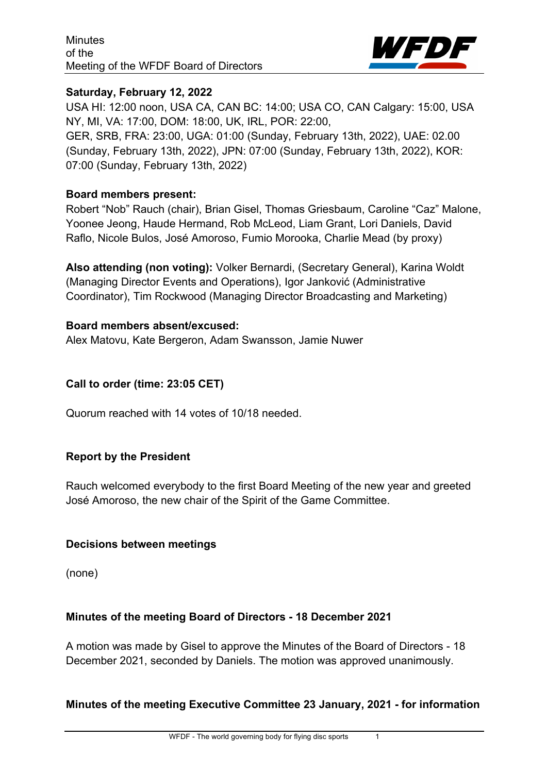

## **Saturday, February 12, 2022**

USA HI: 12:00 noon, USA CA, CAN BC: 14:00; USA CO, CAN Calgary: 15:00, USA NY, MI, VA: 17:00, DOM: 18:00, UK, IRL, POR: 22:00,

GER, SRB, FRA: 23:00, UGA: 01:00 (Sunday, February 13th, 2022), UAE: 02.00 (Sunday, February 13th, 2022), JPN: 07:00 (Sunday, February 13th, 2022), KOR: 07:00 (Sunday, February 13th, 2022)

## **Board members present:**

Robert "Nob" Rauch (chair), Brian Gisel, Thomas Griesbaum, Caroline "Caz" Malone, Yoonee Jeong, Haude Hermand, Rob McLeod, Liam Grant, Lori Daniels, David Raflo, Nicole Bulos, José Amoroso, Fumio Morooka, Charlie Mead (by proxy)

**Also attending (non voting):** Volker Bernardi, (Secretary General), Karina Woldt (Managing Director Events and Operations), Igor Janković (Administrative Coordinator), Tim Rockwood (Managing Director Broadcasting and Marketing)

## **Board members absent/excused:**

Alex Matovu, Kate Bergeron, Adam Swansson, Jamie Nuwer

## **Call to order (time: 23:05 CET)**

Quorum reached with 14 votes of 10/18 needed.

## **Report by the President**

Rauch welcomed everybody to the first Board Meeting of the new year and greeted José Amoroso, the new chair of the Spirit of the Game Committee.

## **Decisions between meetings**

(none)

## **Minutes of the meeting Board of Directors - 18 December 2021**

A motion was made by Gisel to approve the Minutes of the Board of Directors - 18 December 2021, seconded by Daniels. The motion was approved unanimously.

## **Minutes of the meeting Executive Committee 23 January, 2021 - for information**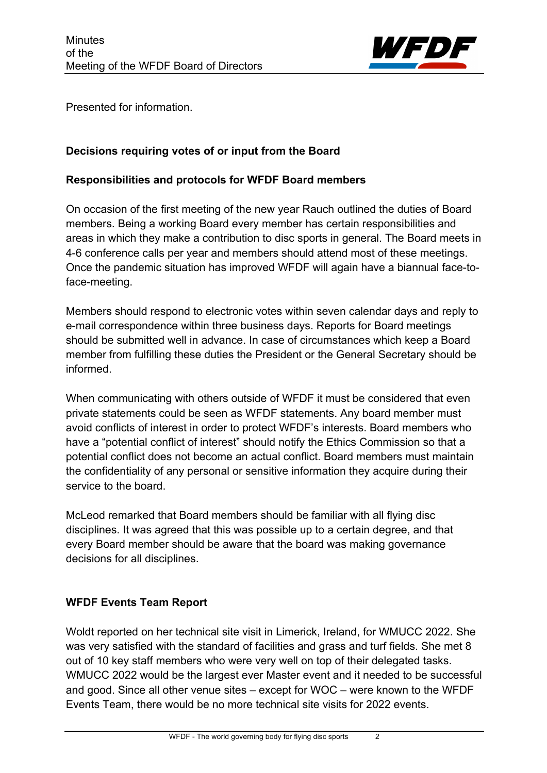

Presented for information.

## **Decisions requiring votes of or input from the Board**

## **Responsibilities and protocols for WFDF Board members**

On occasion of the first meeting of the new year Rauch outlined the duties of Board members. Being a working Board every member has certain responsibilities and areas in which they make a contribution to disc sports in general. The Board meets in 4-6 conference calls per year and members should attend most of these meetings. Once the pandemic situation has improved WFDF will again have a biannual face-toface-meeting.

Members should respond to electronic votes within seven calendar days and reply to e-mail correspondence within three business days. Reports for Board meetings should be submitted well in advance. In case of circumstances which keep a Board member from fulfilling these duties the President or the General Secretary should be informed.

When communicating with others outside of WFDF it must be considered that even private statements could be seen as WFDF statements. Any board member must avoid conflicts of interest in order to protect WFDF's interests. Board members who have a "potential conflict of interest" should notify the Ethics Commission so that a potential conflict does not become an actual conflict. Board members must maintain the confidentiality of any personal or sensitive information they acquire during their service to the board.

McLeod remarked that Board members should be familiar with all flying disc disciplines. It was agreed that this was possible up to a certain degree, and that every Board member should be aware that the board was making governance decisions for all disciplines.

# **WFDF Events Team Report**

Woldt reported on her technical site visit in Limerick, Ireland, for WMUCC 2022. She was very satisfied with the standard of facilities and grass and turf fields. She met 8 out of 10 key staff members who were very well on top of their delegated tasks. WMUCC 2022 would be the largest ever Master event and it needed to be successful and good. Since all other venue sites – except for WOC – were known to the WFDF Events Team, there would be no more technical site visits for 2022 events.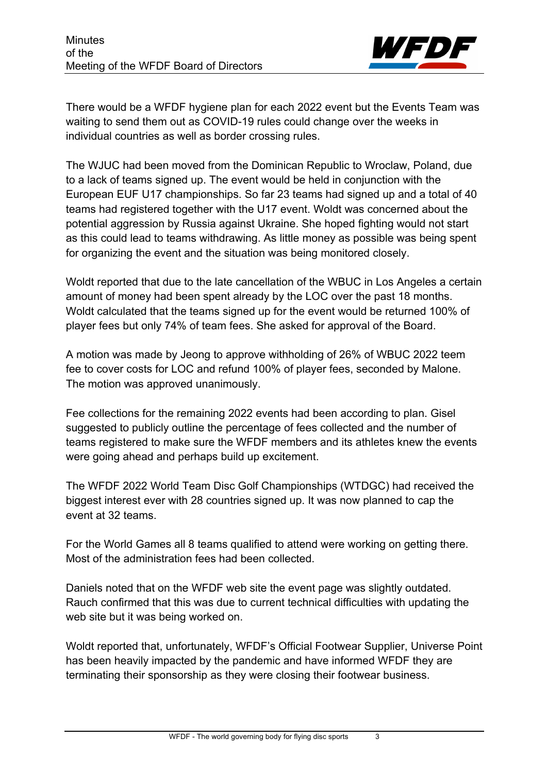

There would be a WFDF hygiene plan for each 2022 event but the Events Team was waiting to send them out as COVID-19 rules could change over the weeks in individual countries as well as border crossing rules.

The WJUC had been moved from the Dominican Republic to Wroclaw, Poland, due to a lack of teams signed up. The event would be held in conjunction with the European EUF U17 championships. So far 23 teams had signed up and a total of 40 teams had registered together with the U17 event. Woldt was concerned about the potential aggression by Russia against Ukraine. She hoped fighting would not start as this could lead to teams withdrawing. As little money as possible was being spent for organizing the event and the situation was being monitored closely.

Woldt reported that due to the late cancellation of the WBUC in Los Angeles a certain amount of money had been spent already by the LOC over the past 18 months. Woldt calculated that the teams signed up for the event would be returned 100% of player fees but only 74% of team fees. She asked for approval of the Board.

A motion was made by Jeong to approve withholding of 26% of WBUC 2022 teem fee to cover costs for LOC and refund 100% of player fees, seconded by Malone. The motion was approved unanimously.

Fee collections for the remaining 2022 events had been according to plan. Gisel suggested to publicly outline the percentage of fees collected and the number of teams registered to make sure the WFDF members and its athletes knew the events were going ahead and perhaps build up excitement.

The WFDF 2022 World Team Disc Golf Championships (WTDGC) had received the biggest interest ever with 28 countries signed up. It was now planned to cap the event at 32 teams.

For the World Games all 8 teams qualified to attend were working on getting there. Most of the administration fees had been collected.

Daniels noted that on the WFDF web site the event page was slightly outdated. Rauch confirmed that this was due to current technical difficulties with updating the web site but it was being worked on.

Woldt reported that, unfortunately, WFDF's Official Footwear Supplier, Universe Point has been heavily impacted by the pandemic and have informed WFDF they are terminating their sponsorship as they were closing their footwear business.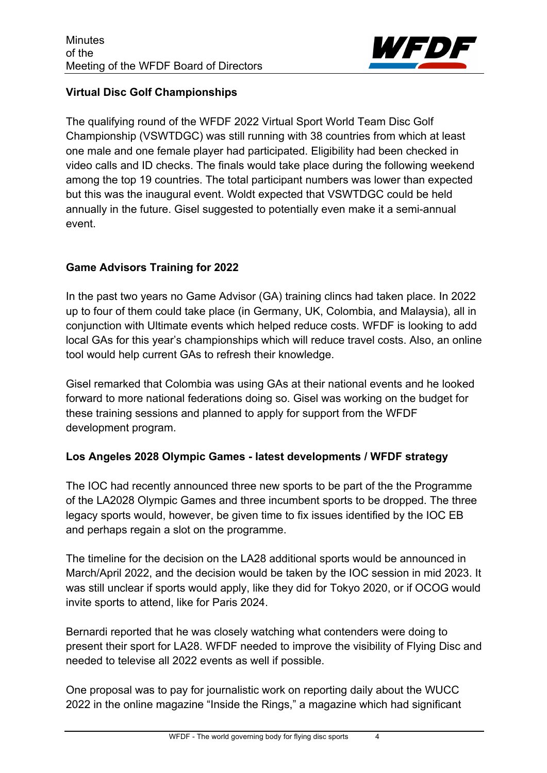

## **Virtual Disc Golf Championships**

The qualifying round of the WFDF 2022 Virtual Sport World Team Disc Golf Championship (VSWTDGC) was still running with 38 countries from which at least one male and one female player had participated. Eligibility had been checked in video calls and ID checks. The finals would take place during the following weekend among the top 19 countries. The total participant numbers was lower than expected but this was the inaugural event. Woldt expected that VSWTDGC could be held annually in the future. Gisel suggested to potentially even make it a semi-annual event.

## **Game Advisors Training for 2022**

In the past two years no Game Advisor (GA) training clincs had taken place. In 2022 up to four of them could take place (in Germany, UK, Colombia, and Malaysia), all in conjunction with Ultimate events which helped reduce costs. WFDF is looking to add local GAs for this year's championships which will reduce travel costs. Also, an online tool would help current GAs to refresh their knowledge.

Gisel remarked that Colombia was using GAs at their national events and he looked forward to more national federations doing so. Gisel was working on the budget for these training sessions and planned to apply for support from the WFDF development program.

## **Los Angeles 2028 Olympic Games - latest developments / WFDF strategy**

The IOC had recently announced three new sports to be part of the the Programme of the LA2028 Olympic Games and three incumbent sports to be dropped. The three legacy sports would, however, be given time to fix issues identified by the IOC EB and perhaps regain a slot on the programme.

The timeline for the decision on the LA28 additional sports would be announced in March/April 2022, and the decision would be taken by the IOC session in mid 2023. It was still unclear if sports would apply, like they did for Tokyo 2020, or if OCOG would invite sports to attend, like for Paris 2024.

Bernardi reported that he was closely watching what contenders were doing to present their sport for LA28. WFDF needed to improve the visibility of Flying Disc and needed to televise all 2022 events as well if possible.

One proposal was to pay for journalistic work on reporting daily about the WUCC 2022 in the online magazine "Inside the Rings," a magazine which had significant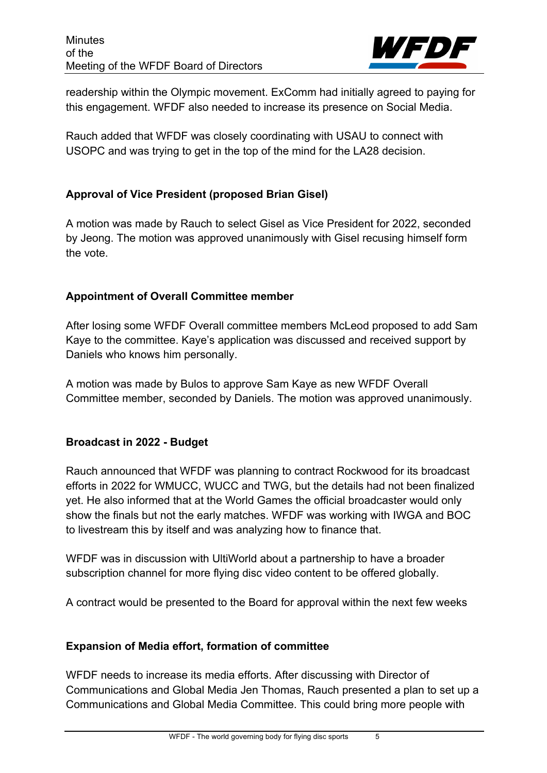

readership within the Olympic movement. ExComm had initially agreed to paying for this engagement. WFDF also needed to increase its presence on Social Media.

Rauch added that WFDF was closely coordinating with USAU to connect with USOPC and was trying to get in the top of the mind for the LA28 decision.

## **Approval of Vice President (proposed Brian Gisel)**

A motion was made by Rauch to select Gisel as Vice President for 2022, seconded by Jeong. The motion was approved unanimously with Gisel recusing himself form the vote.

## **Appointment of Overall Committee member**

After losing some WFDF Overall committee members McLeod proposed to add Sam Kaye to the committee. Kaye's application was discussed and received support by Daniels who knows him personally.

A motion was made by Bulos to approve Sam Kaye as new WFDF Overall Committee member, seconded by Daniels. The motion was approved unanimously.

# **Broadcast in 2022 - Budget**

Rauch announced that WFDF was planning to contract Rockwood for its broadcast efforts in 2022 for WMUCC, WUCC and TWG, but the details had not been finalized yet. He also informed that at the World Games the official broadcaster would only show the finals but not the early matches. WFDF was working with IWGA and BOC to livestream this by itself and was analyzing how to finance that.

WFDF was in discussion with UltiWorld about a partnership to have a broader subscription channel for more flying disc video content to be offered globally.

A contract would be presented to the Board for approval within the next few weeks

# **Expansion of Media effort, formation of committee**

WFDF needs to increase its media efforts. After discussing with Director of Communications and Global Media Jen Thomas, Rauch presented a plan to set up a Communications and Global Media Committee. This could bring more people with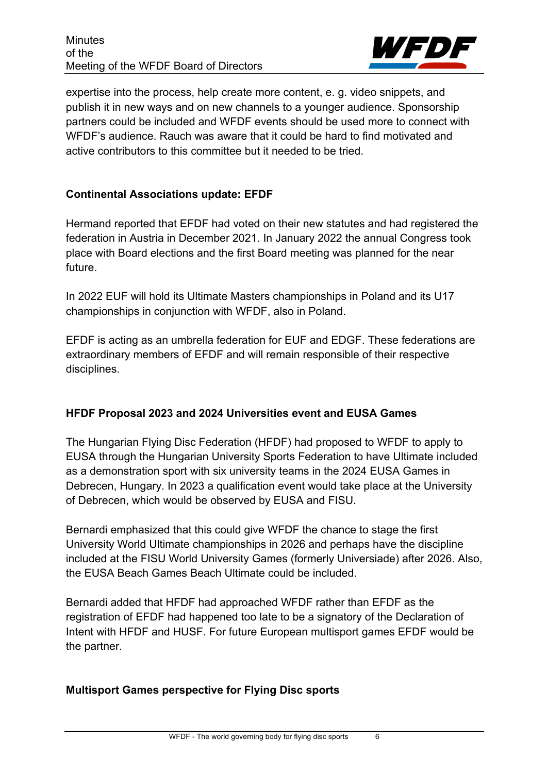

expertise into the process, help create more content, e. g. video snippets, and publish it in new ways and on new channels to a younger audience. Sponsorship partners could be included and WFDF events should be used more to connect with WFDF's audience. Rauch was aware that it could be hard to find motivated and active contributors to this committee but it needed to be tried.

## **Continental Associations update: EFDF**

Hermand reported that EFDF had voted on their new statutes and had registered the federation in Austria in December 2021. In January 2022 the annual Congress took place with Board elections and the first Board meeting was planned for the near future.

In 2022 EUF will hold its Ultimate Masters championships in Poland and its U17 championships in conjunction with WFDF, also in Poland.

EFDF is acting as an umbrella federation for EUF and EDGF. These federations are extraordinary members of EFDF and will remain responsible of their respective disciplines.

## **HFDF Proposal 2023 and 2024 Universities event and EUSA Games**

The Hungarian Flying Disc Federation (HFDF) had proposed to WFDF to apply to EUSA through the Hungarian University Sports Federation to have Ultimate included as a demonstration sport with six university teams in the 2024 EUSA Games in Debrecen, Hungary. In 2023 a qualification event would take place at the University of Debrecen, which would be observed by EUSA and FISU.

Bernardi emphasized that this could give WFDF the chance to stage the first University World Ultimate championships in 2026 and perhaps have the discipline included at the FISU World University Games (formerly Universiade) after 2026. Also, the EUSA Beach Games Beach Ultimate could be included.

Bernardi added that HFDF had approached WFDF rather than EFDF as the registration of EFDF had happened too late to be a signatory of the Declaration of Intent with HFDF and HUSF. For future European multisport games EFDF would be the partner.

## **Multisport Games perspective for Flying Disc sports**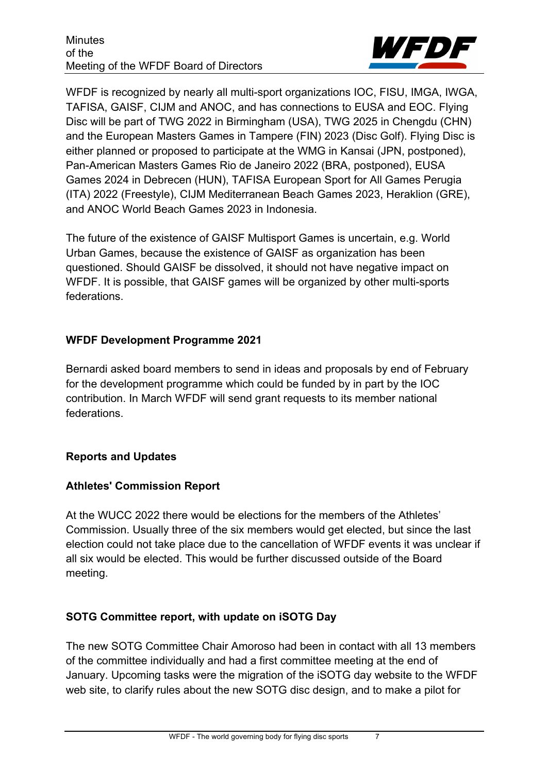**Minutes** of the Meeting of the WFDF Board of Directors



WFDF is recognized by nearly all multi-sport organizations IOC, FISU, IMGA, IWGA, TAFISA, GAISF, CIJM and ANOC, and has connections to EUSA and EOC. Flying Disc will be part of TWG 2022 in Birmingham (USA), TWG 2025 in Chengdu (CHN) and the European Masters Games in Tampere (FIN) 2023 (Disc Golf). Flying Disc is either planned or proposed to participate at the WMG in Kansai (JPN, postponed), Pan-American Masters Games Rio de Janeiro 2022 (BRA, postponed), EUSA Games 2024 in Debrecen (HUN), TAFISA European Sport for All Games Perugia (ITA) 2022 (Freestyle), CIJM Mediterranean Beach Games 2023, Heraklion (GRE), and ANOC World Beach Games 2023 in Indonesia.

The future of the existence of GAISF Multisport Games is uncertain, e.g. World Urban Games, because the existence of GAISF as organization has been questioned. Should GAISF be dissolved, it should not have negative impact on WFDF. It is possible, that GAISF games will be organized by other multi-sports federations.

## **WFDF Development Programme 2021**

Bernardi asked board members to send in ideas and proposals by end of February for the development programme which could be funded by in part by the IOC contribution. In March WFDF will send grant requests to its member national federations.

## **Reports and Updates**

# **Athletes' Commission Report**

At the WUCC 2022 there would be elections for the members of the Athletes' Commission. Usually three of the six members would get elected, but since the last election could not take place due to the cancellation of WFDF events it was unclear if all six would be elected. This would be further discussed outside of the Board meeting.

# **SOTG Committee report, with update on iSOTG Day**

The new SOTG Committee Chair Amoroso had been in contact with all 13 members of the committee individually and had a first committee meeting at the end of January. Upcoming tasks were the migration of the iSOTG day website to the WFDF web site, to clarify rules about the new SOTG disc design, and to make a pilot for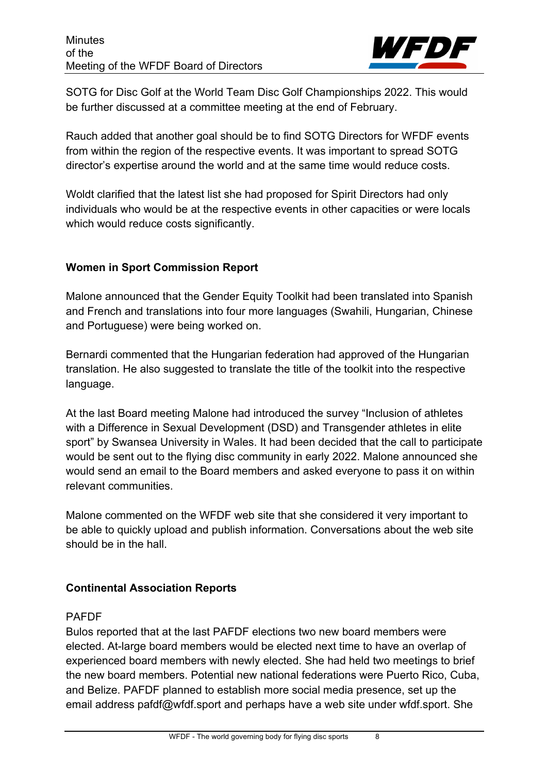

SOTG for Disc Golf at the World Team Disc Golf Championships 2022. This would be further discussed at a committee meeting at the end of February.

Rauch added that another goal should be to find SOTG Directors for WFDF events from within the region of the respective events. It was important to spread SOTG director's expertise around the world and at the same time would reduce costs.

Woldt clarified that the latest list she had proposed for Spirit Directors had only individuals who would be at the respective events in other capacities or were locals which would reduce costs significantly.

## **Women in Sport Commission Report**

Malone announced that the Gender Equity Toolkit had been translated into Spanish and French and translations into four more languages (Swahili, Hungarian, Chinese and Portuguese) were being worked on.

Bernardi commented that the Hungarian federation had approved of the Hungarian translation. He also suggested to translate the title of the toolkit into the respective language.

At the last Board meeting Malone had introduced the survey "Inclusion of athletes with a Difference in Sexual Development (DSD) and Transgender athletes in elite sport" by Swansea University in Wales. It had been decided that the call to participate would be sent out to the flying disc community in early 2022. Malone announced she would send an email to the Board members and asked everyone to pass it on within relevant communities.

Malone commented on the WFDF web site that she considered it very important to be able to quickly upload and publish information. Conversations about the web site should be in the hall.

# **Continental Association Reports**

## PAFDF

Bulos reported that at the last PAFDF elections two new board members were elected. At-large board members would be elected next time to have an overlap of experienced board members with newly elected. She had held two meetings to brief the new board members. Potential new national federations were Puerto Rico, Cuba, and Belize. PAFDF planned to establish more social media presence, set up the email address pafdf@wfdf.sport and perhaps have a web site under wfdf.sport. She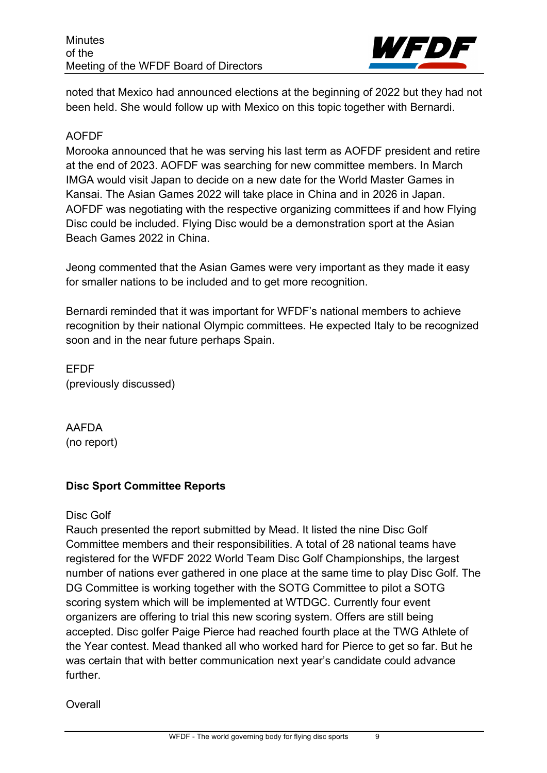

noted that Mexico had announced elections at the beginning of 2022 but they had not been held. She would follow up with Mexico on this topic together with Bernardi.

#### AOFDF

Morooka announced that he was serving his last term as AOFDF president and retire at the end of 2023. AOFDF was searching for new committee members. In March IMGA would visit Japan to decide on a new date for the World Master Games in Kansai. The Asian Games 2022 will take place in China and in 2026 in Japan. AOFDF was negotiating with the respective organizing committees if and how Flying Disc could be included. Flying Disc would be a demonstration sport at the Asian Beach Games 2022 in China.

Jeong commented that the Asian Games were very important as they made it easy for smaller nations to be included and to get more recognition.

Bernardi reminded that it was important for WFDF's national members to achieve recognition by their national Olympic committees. He expected Italy to be recognized soon and in the near future perhaps Spain.

EFDF (previously discussed)

AAFDA (no report)

## **Disc Sport Committee Reports**

#### Disc Golf

Rauch presented the report submitted by Mead. It listed the nine Disc Golf Committee members and their responsibilities. A total of 28 national teams have registered for the WFDF 2022 World Team Disc Golf Championships, the largest number of nations ever gathered in one place at the same time to play Disc Golf. The DG Committee is working together with the SOTG Committee to pilot a SOTG scoring system which will be implemented at WTDGC. Currently four event organizers are offering to trial this new scoring system. Offers are still being accepted. Disc golfer Paige Pierce had reached fourth place at the TWG Athlete of the Year contest. Mead thanked all who worked hard for Pierce to get so far. But he was certain that with better communication next year's candidate could advance further.

**Overall**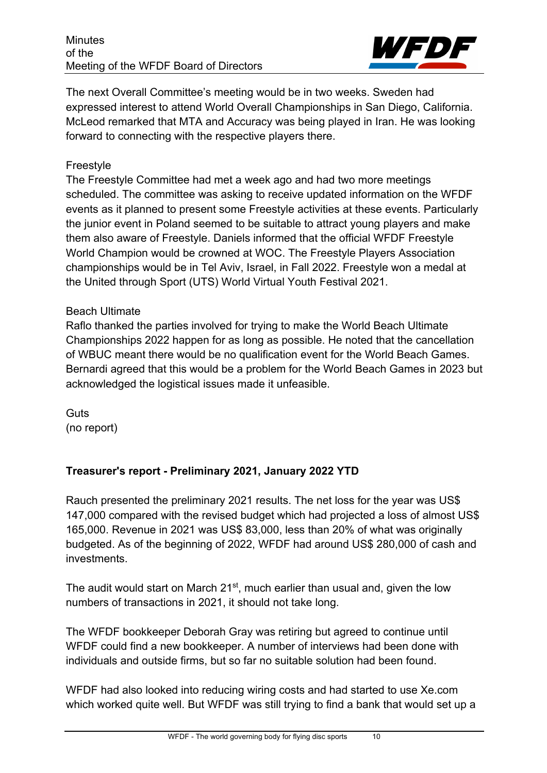

The next Overall Committee's meeting would be in two weeks. Sweden had expressed interest to attend World Overall Championships in San Diego, California. McLeod remarked that MTA and Accuracy was being played in Iran. He was looking forward to connecting with the respective players there.

## Freestyle

The Freestyle Committee had met a week ago and had two more meetings scheduled. The committee was asking to receive updated information on the WFDF events as it planned to present some Freestyle activities at these events. Particularly the junior event in Poland seemed to be suitable to attract young players and make them also aware of Freestyle. Daniels informed that the official WFDF Freestyle World Champion would be crowned at WOC. The Freestyle Players Association championships would be in Tel Aviv, Israel, in Fall 2022. Freestyle won a medal at the United through Sport (UTS) World Virtual Youth Festival 2021.

## Beach Ultimate

Raflo thanked the parties involved for trying to make the World Beach Ultimate Championships 2022 happen for as long as possible. He noted that the cancellation of WBUC meant there would be no qualification event for the World Beach Games. Bernardi agreed that this would be a problem for the World Beach Games in 2023 but acknowledged the logistical issues made it unfeasible.

**Guts** (no report)

# **Treasurer's report - Preliminary 2021, January 2022 YTD**

Rauch presented the preliminary 2021 results. The net loss for the year was US\$ 147,000 compared with the revised budget which had projected a loss of almost US\$ 165,000. Revenue in 2021 was US\$ 83,000, less than 20% of what was originally budgeted. As of the beginning of 2022, WFDF had around US\$ 280,000 of cash and investments.

The audit would start on March 21<sup>st</sup>, much earlier than usual and, given the low numbers of transactions in 2021, it should not take long.

The WFDF bookkeeper Deborah Gray was retiring but agreed to continue until WFDF could find a new bookkeeper. A number of interviews had been done with individuals and outside firms, but so far no suitable solution had been found.

WFDF had also looked into reducing wiring costs and had started to use Xe.com which worked quite well. But WFDF was still trying to find a bank that would set up a